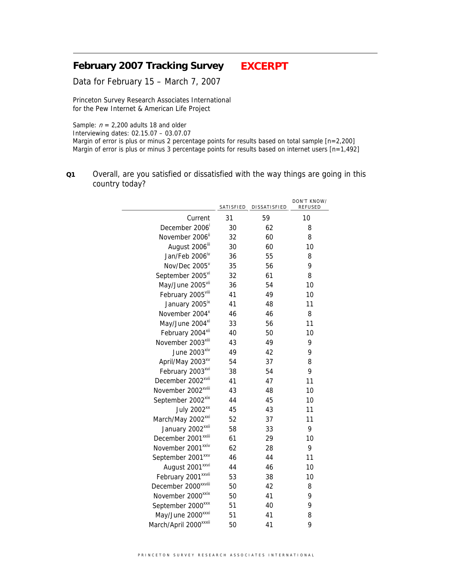# **February 2007 Tracking Survey EXCERPT**

Data for February 15 – March 7, 2007

Princeton Survey Research Associates International for the Pew Internet & American Life Project

Sample:  $n = 2,200$  adults 18 and older

Interviewing dates: 02.15.07 – 03.07.07

Margin of error is plus or minus 2 percentage points for results based on total sample [n=2,200] Margin of error is plus or minus 3 percentage points for results based on internet users [n=1,492]

**Q1** Overall, are you satisfied or dissatisfied with the way things are going in this country today?

|                                   | SATISFIED | DISSATISFIED | DON'T KNOW/<br>REFUSED |
|-----------------------------------|-----------|--------------|------------------------|
| Current                           | 31        | 59           | 10                     |
| December 2006                     | 30        | 62           | 8                      |
| November 2006 <sup>ii</sup>       | 32        | 60           | 8                      |
| August 2006 <sup>iii</sup>        | 30        | 60           | 10                     |
| Jan/Feb 2006 <sup>iv</sup>        | 36        | 55           | 8                      |
| Nov/Dec 2005 <sup>v</sup>         | 35        | 56           | 9                      |
| September 2005vi                  | 32        | 61           | 8                      |
| May/June 2005vil                  | 36        | 54           | 10                     |
| February 2005vill                 | 41        | 49           | 10                     |
| January 2005 <sup>ix</sup>        | 41        | 48           | 11                     |
| November 2004 <sup>x</sup>        | 46        | 46           | 8                      |
| May/June 2004 <sup>xi</sup>       | 33        | 56           | 11                     |
| February 2004 <sup>xii</sup>      | 40        | 50           | 10                     |
| November 2003 <sup>xiii</sup>     | 43        | 49           | 9                      |
| June 2003 <sup>xiv</sup>          | 49        | 42           | 9                      |
| April/May 2003 <sup>xv</sup>      | 54        | 37           | 8                      |
| February 2003 <sup>xvi</sup>      | 38        | 54           | 9                      |
| December 2002 <sup>xvii</sup>     | 41        | 47           | 11                     |
| November 2002 <sup>xviii</sup>    | 43        | 48           | 10                     |
| September 2002 <sup>xix</sup>     | 44        | 45           | 10                     |
| July 2002 <sup>xx</sup>           | 45        | 43           | 11                     |
| March/May 2002 <sup>xxi</sup>     | 52        | 37           | 11                     |
| January 2002 <sup>xxii</sup>      | 58        | 33           | 9                      |
| December 2001 <sup>xxiii</sup>    | 61        | 29           | 10                     |
| November 2001 <sup>xxiv</sup>     | 62        | 28           | 9                      |
| September 2001 <sup>xxv</sup>     | 46        | 44           | 11                     |
| August 2001 <sup>xxvi</sup>       | 44        | 46           | 10                     |
| February 2001 <sup>xxvii</sup>    | 53        | 38           | 10                     |
| December 2000 <sup>xxviii</sup>   | 50        | 42           | 8                      |
| November 2000 <sup>xxix</sup>     | 50        | 41           | 9                      |
| September 2000 <sup>xxx</sup>     | 51        | 40           | 9                      |
| May/June 2000 <sup>xxxi</sup>     | 51        | 41           | 8                      |
| March/April 2000 <sup>xxxii</sup> | 50        | 41           | 9                      |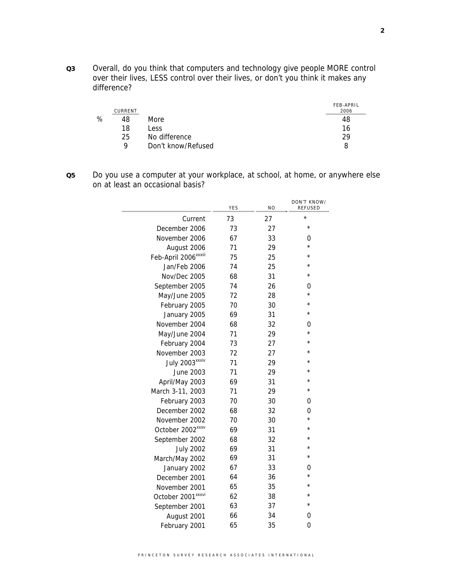**Q3** Overall, do you think that computers and technology give people MORE control over their lives, LESS control over their lives, or don't you think it makes any difference?

|   | CURRENT |                    | <b>FEB-APRIL</b><br>2006 |
|---|---------|--------------------|--------------------------|
| ℅ | 48      | More.              | 48                       |
|   | 18      | Less               | 16                       |
|   | 25      | No difference      | 29                       |
|   | Q       | Don't know/Refused | 8                        |

**Q5** Do you use a computer at your workplace, at school, at home, or anywhere else on at least an occasional basis?

|                                  | YES | N <sub>O</sub> | DON'T KNOW/<br>REFUSED |
|----------------------------------|-----|----------------|------------------------|
| Current                          | 73  | 27             | $\star$                |
| December 2006                    | 73  | 27             | $^{\star}$             |
| November 2006                    | 67  | 33             | 0                      |
| August 2006                      | 71  | 29             | $\star$                |
| Feb-April 2006 <sup>xxxiii</sup> | 75  | 25             | $\star$                |
| Jan/Feb 2006                     | 74  | 25             | $\star$                |
| Nov/Dec 2005                     | 68  | 31             | $^\star$               |
| September 2005                   | 74  | 26             | 0                      |
| May/June 2005                    | 72  | 28             | $\star$                |
| February 2005                    | 70  | 30             | $^\star$               |
| January 2005                     | 69  | 31             | $^\star$               |
| November 2004                    | 68  | 32             | 0                      |
| May/June 2004                    | 71  | 29             | $^\star$               |
| February 2004                    | 73  | 27             | $^\star$               |
| November 2003                    | 72  | 27             | $^\star$               |
| July 2003 xxxiv                  | 71  | 29             | $\star$                |
| June 2003                        | 71  | 29             | $^{\star}$             |
| April/May 2003                   | 69  | 31             | $\star$                |
| March 3-11, 2003                 | 71  | 29             | $^{\star}$             |
| February 2003                    | 70  | 30             | 0                      |
| December 2002                    | 68  | 32             | 0                      |
| November 2002                    | 70  | 30             | $\star$                |
| October 2002 <sup>xxxv</sup>     | 69  | 31             | $\star$                |
| September 2002                   | 68  | 32             | $^\star$               |
| <b>July 2002</b>                 | 69  | 31             | $^{\star}$             |
| March/May 2002                   | 69  | 31             | $\star$                |
| January 2002                     | 67  | 33             | 0                      |
| December 2001                    | 64  | 36             | $^{\star}$             |
| November 2001                    | 65  | 35             | $\star$                |
| October 2001 <sup>xxxvi</sup>    | 62  | 38             | $^{\star}$             |
| September 2001                   | 63  | 37             | $^{\star}$             |
| August 2001                      | 66  | 34             | 0                      |
| February 2001                    | 65  | 35             | $\overline{0}$         |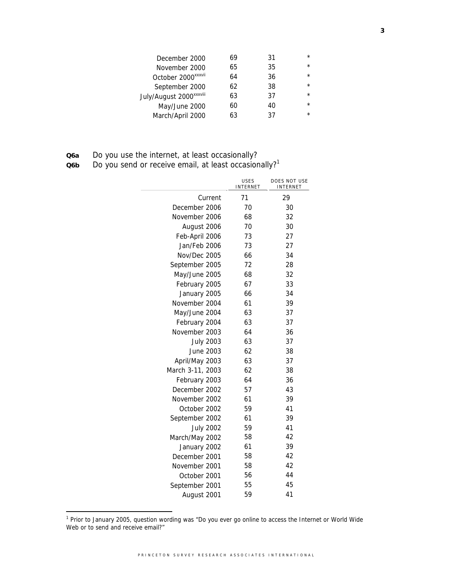| December 2000                       | 69 | 31 | $\star$ |
|-------------------------------------|----|----|---------|
| November 2000                       | 65 | 35 | $\star$ |
| October 2000 <sup>xxxvii</sup>      | 64 | 36 | $\star$ |
| September 2000                      | 62 | 38 | $\star$ |
| July/August 2000 <sup>xxxviii</sup> | 63 | 37 | $\star$ |
| May/June 2000                       | 60 | 40 | $\star$ |
| March/April 2000                    | 63 | 37 | $\star$ |
|                                     |    |    |         |

| Q <sub>6</sub> a |  |  |  |  | Do you use the internet, at least occasionally? |
|------------------|--|--|--|--|-------------------------------------------------|
|------------------|--|--|--|--|-------------------------------------------------|

**Q6b** Do you send or receive email, at least occasionally?<sup>1</sup>

|                  | <b>USES</b><br><b>INTERNET</b> | DOES NOT USE<br><b>INTERNET</b> |
|------------------|--------------------------------|---------------------------------|
| Current          | 71                             | 29                              |
| December 2006    | 70                             | 30                              |
| November 2006    | 68                             | 32                              |
| August 2006      | 70                             | 30                              |
| Feb-April 2006   | 73                             | 27                              |
| Jan/Feb 2006     | 73                             | 27                              |
| Nov/Dec 2005     | 66                             | 34                              |
| September 2005   | 72                             | 28                              |
| May/June 2005    | 68                             | 32                              |
| February 2005    | 67                             | 33                              |
| January 2005     | 66                             | 34                              |
| November 2004    | 61                             | 39                              |
| May/June 2004    | 63                             | 37                              |
| February 2004    | 63                             | 37                              |
| November 2003    | 64                             | 36                              |
| <b>July 2003</b> | 63                             | 37                              |
| June 2003        | 62                             | 38                              |
| April/May 2003   | 63                             | 37                              |
| March 3-11, 2003 | 62                             | 38                              |
| February 2003    | 64                             | 36                              |
| December 2002    | 57                             | 43                              |
| November 2002    | 61                             | 39                              |
| October 2002     | 59                             | 41                              |
| September 2002   | 61                             | 39                              |
| <b>July 2002</b> | 59                             | 41                              |
| March/May 2002   | 58                             | 42                              |
| January 2002     | 61                             | 39                              |
| December 2001    | 58                             | 42                              |
| November 2001    | 58                             | 42                              |
| October 2001     | 56                             | 44                              |
| September 2001   | 55                             | 45                              |
| August 2001      | 59                             | 41                              |

<sup>1&</sup>lt;br><sup>1</sup> Prior to January 2005, question wording was "Do you ever go online to access the Internet or World Wide Web or to send and receive email?"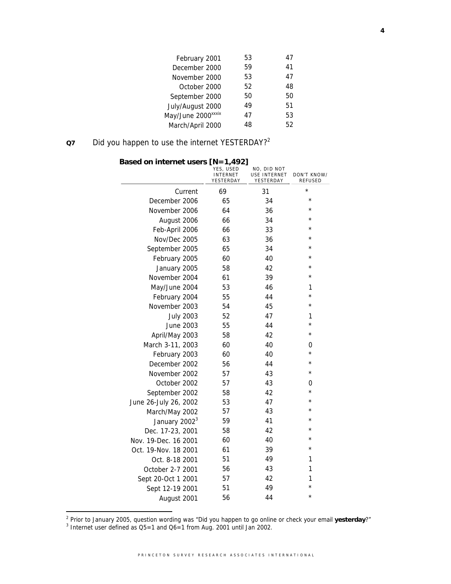| February 2001                  | 53 | 47 |
|--------------------------------|----|----|
| December 2000                  | 59 | 41 |
| November 2000                  | 53 | 47 |
| October 2000                   | 52 | 48 |
| September 2000                 | 50 | 50 |
| July/August 2000               | 49 | 51 |
| May/June 2000 <sup>xxxix</sup> | 47 | 53 |
| March/April 2000               | 48 | 52 |
|                                |    |    |

# **Q7** Did you happen to use the internet YESTERDAY?2

| Based on internet users [N=1,492] | YES, USED<br><b>INTERNET</b><br>YESTERDAY | NO, DID NOT<br>USE INTERNET<br>YESTERDAY | DON'T KNOW/<br><b>REFUSED</b> |
|-----------------------------------|-------------------------------------------|------------------------------------------|-------------------------------|
| Current                           | 69                                        | 31                                       | $^\star$                      |
| December 2006                     | 65                                        | 34                                       | $\star$                       |
| November 2006                     | 64                                        | 36                                       | $^\star$                      |
| August 2006                       | 66                                        | 34                                       | $\star$                       |
| Feb-April 2006                    | 66                                        | 33                                       | $^\star$                      |
| Nov/Dec 2005                      | 63                                        | 36                                       | $\star$                       |
| September 2005                    | 65                                        | 34                                       | $^\star$                      |
| February 2005                     | 60                                        | 40                                       | $\star$                       |
| January 2005                      | 58                                        | 42                                       | $\star$                       |
| November 2004                     | 61                                        | 39                                       | $\star$                       |
| May/June 2004                     | 53                                        | 46                                       | 1                             |
| February 2004                     | 55                                        | 44                                       | $^\star$                      |
| November 2003                     | 54                                        | 45                                       | $^\star$                      |
| <b>July 2003</b>                  | 52                                        | 47                                       | 1                             |
| June 2003                         | 55                                        | 44                                       | $^\star$                      |
| April/May 2003                    | 58                                        | 42                                       | $^\star$                      |
| March 3-11, 2003                  | 60                                        | 40                                       | 0                             |
| February 2003                     | 60                                        | 40                                       | $^\star$                      |
| December 2002                     | 56                                        | 44                                       | $^\star$                      |
| November 2002                     | 57                                        | 43                                       | $^\star$                      |
| October 2002                      | 57                                        | 43                                       | 0                             |
| September 2002                    | 58                                        | 42                                       | $^\star$                      |
| June 26-July 26, 2002             | 53                                        | 47                                       | $^\star$                      |
| March/May 2002                    | 57                                        | 43                                       | $^\star$                      |
| January 2002 <sup>3</sup>         | 59                                        | 41                                       | $\star$                       |
| Dec. 17-23, 2001                  | 58                                        | 42                                       | $^\star$                      |
| Nov. 19-Dec. 16 2001              | 60                                        | 40                                       | $^\star$                      |
| Oct. 19-Nov. 18 2001              | 61                                        | 39                                       | $^\star$                      |
| Oct. 8-18 2001                    | 51                                        | 49                                       | 1                             |
| October 2-7 2001                  | 56                                        | 43                                       | 1                             |
| Sept 20-Oct 1 2001                | 57                                        | 42                                       | 1                             |
| Sept 12-19 2001                   | 51                                        | 49                                       | $\star$                       |
| August 2001                       | 56                                        | 44                                       | $\star$                       |

# **Based on internet users [N=1,492]**

<sup>2</sup> Prior to January 2005, question wording was "Did you happen to go online or check your email **yesterday**?"<br><sup>3</sup> Internet user defined as Q5=1 and Q6=1 from Aug. 2001 until Jan 2002.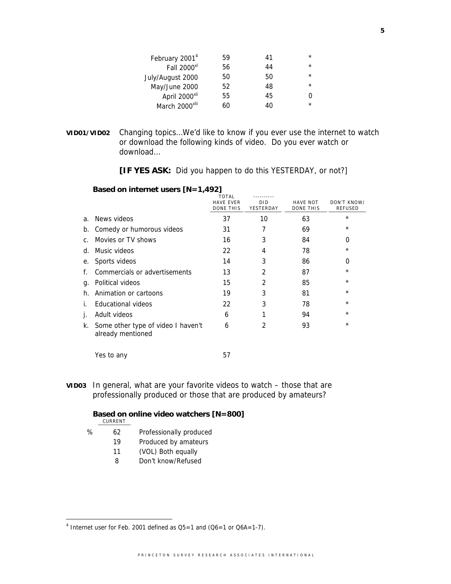| February 2001 <sup>4</sup> | 59 | 41 | $\star$ |
|----------------------------|----|----|---------|
| Fall 2000 <sup>xl</sup>    | 56 | 44 | $\star$ |
| July/August 2000           | 50 | 50 | $\star$ |
| May/June 2000              | 52 | 48 | $\star$ |
| April 2000 <sup>xli</sup>  | 55 | 45 |         |
| March 2000 <sup>xlii</sup> | 60 | 40 | $\star$ |

**VID01/VID02** Changing topics…We'd like to know if you ever use the internet to watch or download the following kinds of video. Do you ever watch or download…

 **[IF YES ASK:** Did you happen to do this YESTERDAY, or not?]

#### **Based on internet users [N=1,492]**

|                |                                                            | TOTAL<br><b>HAVE EVER</b><br>DONE THIS | <b>DID</b><br>YESTERDAY | <b>HAVE NOT</b><br><b>DONE THIS</b> | DON'T KNOW/<br><b>REFUSED</b> |
|----------------|------------------------------------------------------------|----------------------------------------|-------------------------|-------------------------------------|-------------------------------|
| a <sub>1</sub> | News videos                                                | 37                                     | 10                      | 63                                  | $\star$                       |
| b.             | Comedy or humorous videos                                  | 31                                     |                         | 69                                  | $\star$                       |
| $\mathsf{C}$ . | Movies or TV shows                                         | 16                                     | 3                       | 84                                  | 0                             |
| d.             | Music videos                                               | 22                                     | 4                       | 78                                  | $\star$                       |
| е.             | Sports videos                                              | 14                                     | 3                       | 86                                  | 0                             |
| f.             | Commercials or advertisements                              | 13                                     | 2                       | 87                                  | $^{\star}$                    |
| q.             | Political videos                                           | 15                                     | 2                       | 85                                  | $\star$                       |
| h.             | Animation or cartoons                                      | 19                                     | 3                       | 81                                  | $\star$                       |
| İ.             | Educational videos                                         | 22                                     | 3                       | 78                                  | $\star$                       |
| Τ.             | Adult videos                                               | 6                                      |                         | 94                                  | $\star$                       |
|                | k. Some other type of video I haven't<br>already mentioned | 6                                      | 2                       | 93                                  | $\star$                       |

Yes to any 57

**VID03** In general, what are your favorite videos to watch – those that are professionally produced or those that are produced by amateurs?

## **Based on online video watchers [N=800]**

CURRENT

- % 62 Professionally produced
	- 19 Produced by amateurs
	- 11 (VOL) Both equally
	- 8 Don't know/Refused

 4 Internet user for Feb. 2001 defined as Q5=1 and (Q6=1 or Q6A=1-7).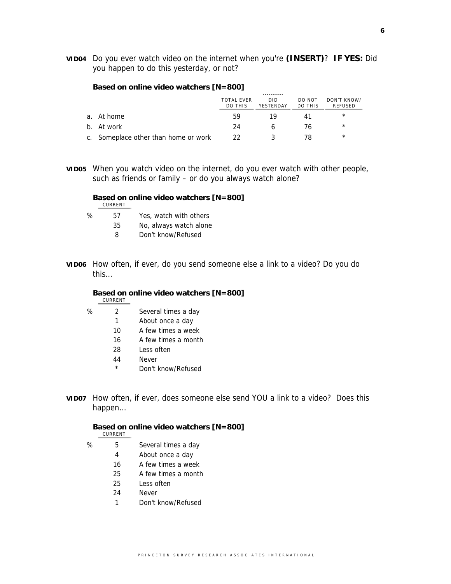**VID04** Do you ever watch video on the internet when you're **(INSERT)**? **IF YES:** Did you happen to do this yesterday, or not?

#### **Based on online video watchers [N=800]**

|                                      | <b>TOTAL EVER</b><br>DO THIS | DID<br>YESTERDAY | DO NOT<br><b>DO THIS</b> | DON'T KNOW/<br>REFUSED |
|--------------------------------------|------------------------------|------------------|--------------------------|------------------------|
| a. At home                           | 59                           | 19               |                          | $\star$                |
| b. At work                           | 24                           |                  | 76                       | $\star$                |
| c. Someplace other than home or work |                              |                  |                          | $^\star$               |

**VID05** When you watch video on the internet, do you ever watch with other people, such as friends or family – or do you always watch alone?

#### **Based on online video watchers [N=800]** CURRENT

- 
- % 57 Yes, watch with others
	- 35 No, always watch alone
	- 8 Don't know/Refused
- **VID06** How often, if ever, do you send someone else a link to a video? Do you do this…

#### **Based on online video watchers [N=800]**

CURRENT

% 2 Several times a day

- 1 About once a day
- 10 A few times a week
- 16 A few times a month
- 28 Less often
- 44 Never
- \* Don't know/Refused
- **VID07** How often, if ever, does someone else send YOU a link to a video? Does this happen…

### **Based on online video watchers [N=800]**

- CURRENT
- % 5 Several times a day
	- 4 About once a day
	- 16 A few times a week
	- 25 A few times a month
	- 25 Less often
	- 24 Never
	- 1 Don't know/Refused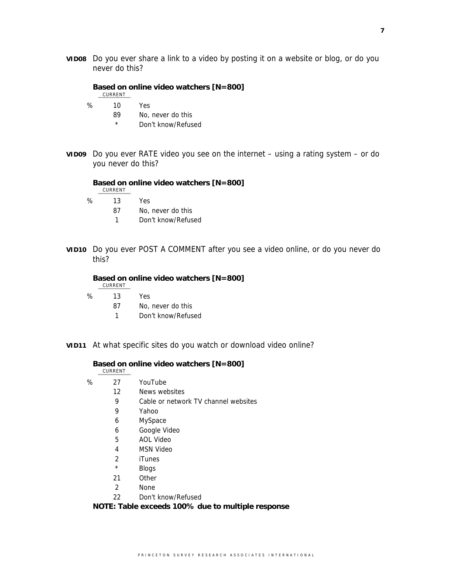**VID08** Do you ever share a link to a video by posting it on a website or blog, or do you never do this?

**Based on online video watchers [N=800]** CURRENT % 10 Yes

- - 89 No, never do this
	- \* Don't know/Refused
- **VID09** Do you ever RATE video you see on the internet using a rating system or do you never do this?

**Based on online video watchers [N=800]**

CURRENT

- % 13 Yes
	- 87 No, never do this
	- 1 Don't know/Refused
- **VID10** Do you ever POST A COMMENT after you see a video online, or do you never do this?

**Based on online video watchers [N=800]**

CURRENT

% 13 Yes

87 No, never do this

- 1 Don't know/Refused
- **VID11** At what specific sites do you watch or download video online?

**Based on online video watchers [N=800]**

CURRENT

- % 27 YouTube 12 News websites 9 Cable or network TV channel websites
	- 9 Yahoo
	- 6 MySpace
	- 6 Google Video
	- 5 AOL Video
	- 4 MSN Video
	- 2 iTunes
	- \* Blogs
	- 21 Other
	- 2 None
	- 22 Don't know/Refused

 **NOTE: Table exceeds 100% due to multiple response**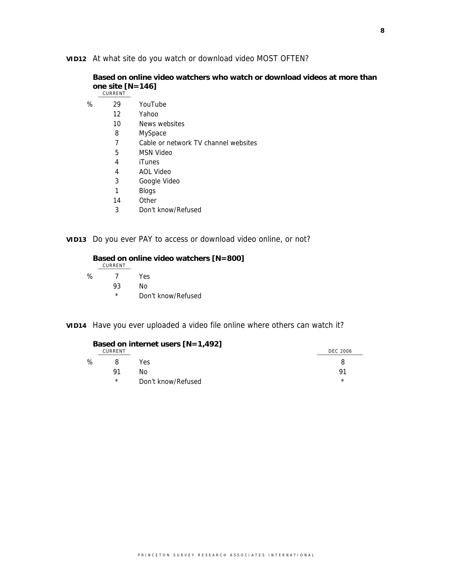## **VID12** At what site do you watch or download video MOST OFTEN?

**Based on online video watchers who watch or download videos at more than one site [N=146]**

|   | CURRENT |                                      |
|---|---------|--------------------------------------|
| ℅ | 29      | YouTube                              |
|   | 12      | Yahoo                                |
|   | 10      | News websites                        |
|   | 8       | MySpace                              |
|   | 7       | Cable or network TV channel websites |
|   | 5       | <b>MSN Video</b>                     |
|   | 4       | <b>iTunes</b>                        |
|   | 4       | AOL Video                            |
|   | 3       | Google Video                         |
|   | 1       | <b>Blogs</b>                         |
|   | 14      | Other                                |
|   | 3       | Don't know/Refused                   |

**VID13** Do you ever PAY to access or download video online, or not?

## **Based on online video watchers [N=800]** CURRENT % 7 Yes 93 No

\* Don't know/Refused

**VID14** Have you ever uploaded a video file online where others can watch it?

|   |         | Based on internet users $[N=1,492]$ |                 |
|---|---------|-------------------------------------|-----------------|
|   | CURRENT |                                     | <b>DEC 2006</b> |
| % | 8       | Yes                                 |                 |
|   | 91      | N٥                                  | 91              |
|   | $\star$ | Don't know/Refused                  | $\star$         |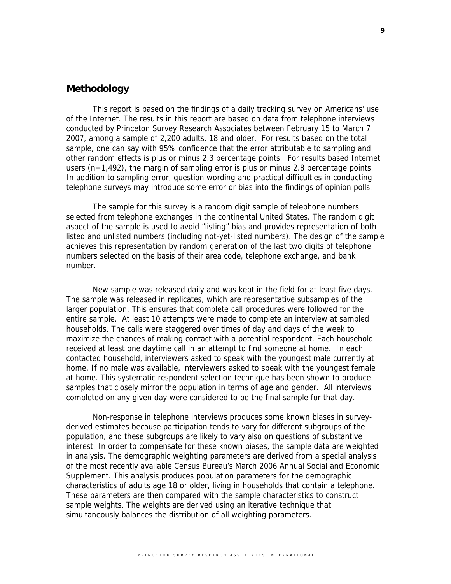## **Methodology**

This report is based on the findings of a daily tracking survey on Americans' use of the Internet. The results in this report are based on data from telephone interviews conducted by Princeton Survey Research Associates between February 15 to March 7 2007, among a sample of 2,200 adults, 18 and older. For results based on the total sample, one can say with 95% confidence that the error attributable to sampling and other random effects is plus or minus 2.3 percentage points. For results based Internet users  $(n=1,492)$ , the margin of sampling error is plus or minus 2.8 percentage points. In addition to sampling error, question wording and practical difficulties in conducting telephone surveys may introduce some error or bias into the findings of opinion polls.

The sample for this survey is a random digit sample of telephone numbers selected from telephone exchanges in the continental United States. The random digit aspect of the sample is used to avoid "listing" bias and provides representation of both listed and unlisted numbers (including not-yet-listed numbers). The design of the sample achieves this representation by random generation of the last two digits of telephone numbers selected on the basis of their area code, telephone exchange, and bank number.

New sample was released daily and was kept in the field for at least five days. The sample was released in replicates, which are representative subsamples of the larger population. This ensures that complete call procedures were followed for the entire sample. At least 10 attempts were made to complete an interview at sampled households. The calls were staggered over times of day and days of the week to maximize the chances of making contact with a potential respondent. Each household received at least one daytime call in an attempt to find someone at home. In each contacted household, interviewers asked to speak with the youngest male currently at home. If no male was available, interviewers asked to speak with the youngest female at home. This systematic respondent selection technique has been shown to produce samples that closely mirror the population in terms of age and gender. All interviews completed on any given day were considered to be the final sample for that day.

Non-response in telephone interviews produces some known biases in surveyderived estimates because participation tends to vary for different subgroups of the population, and these subgroups are likely to vary also on questions of substantive interest. In order to compensate for these known biases, the sample data are weighted in analysis. The demographic weighting parameters are derived from a special analysis of the most recently available Census Bureau's March 2006 Annual Social and Economic Supplement. This analysis produces population parameters for the demographic characteristics of adults age 18 or older, living in households that contain a telephone. These parameters are then compared with the sample characteristics to construct sample weights. The weights are derived using an iterative technique that simultaneously balances the distribution of all weighting parameters.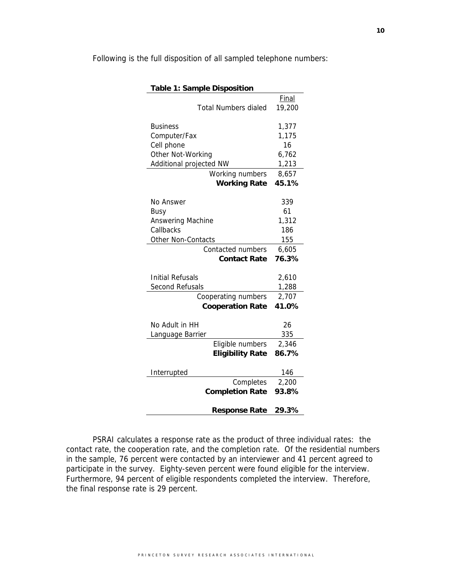| <b>Table 1: Sample Disposition</b> |              |  |  |  |  |
|------------------------------------|--------------|--|--|--|--|
|                                    | <b>Final</b> |  |  |  |  |
| <b>Total Numbers dialed</b>        | 19,200       |  |  |  |  |
|                                    |              |  |  |  |  |
| <b>Business</b>                    | 1,377        |  |  |  |  |
| Computer/Fax                       | 1,175        |  |  |  |  |
| Cell phone                         | 16           |  |  |  |  |
| Other Not-Working                  | 6,762        |  |  |  |  |
| Additional projected NW            | 1,213        |  |  |  |  |
| Working numbers                    | 8,657        |  |  |  |  |
| <b>Working Rate</b>                | 45.1%        |  |  |  |  |
|                                    |              |  |  |  |  |
| No Answer                          | 339          |  |  |  |  |
| <b>Busy</b>                        | 61           |  |  |  |  |
| Answering Machine                  | 1,312        |  |  |  |  |
| Callbacks                          | 186          |  |  |  |  |
| Other Non-Contacts                 | 155          |  |  |  |  |
| <b>Contacted numbers</b>           | 6,605        |  |  |  |  |
| <b>Contact Rate</b>                | 76.3%        |  |  |  |  |
|                                    |              |  |  |  |  |
| <b>Initial Refusals</b>            | 2,610        |  |  |  |  |
| Second Refusals                    | 1,288        |  |  |  |  |
| Cooperating numbers                | 2,707        |  |  |  |  |
| <b>Cooperation Rate</b>            | 41.0%        |  |  |  |  |
|                                    |              |  |  |  |  |
| No Adult in HH                     | 26           |  |  |  |  |
| Language Barrier                   | 335          |  |  |  |  |
| Eligible numbers                   | 2,346        |  |  |  |  |
| <b>Eligibility Rate</b>            | 86.7%        |  |  |  |  |
|                                    |              |  |  |  |  |
| Interrupted                        | 146          |  |  |  |  |
| Completes                          | 2,200        |  |  |  |  |
| <b>Completion Rate</b>             | 93.8%        |  |  |  |  |
|                                    |              |  |  |  |  |
| <b>Response Rate</b>               | 29.3%        |  |  |  |  |

Following is the full disposition of all sampled telephone numbers:

PSRAI calculates a response rate as the product of three individual rates: the contact rate, the cooperation rate, and the completion rate. Of the residential numbers in the sample, 76 percent were contacted by an interviewer and 41 percent agreed to participate in the survey. Eighty-seven percent were found eligible for the interview. Furthermore, 94 percent of eligible respondents completed the interview. Therefore, the final response rate is 29 percent.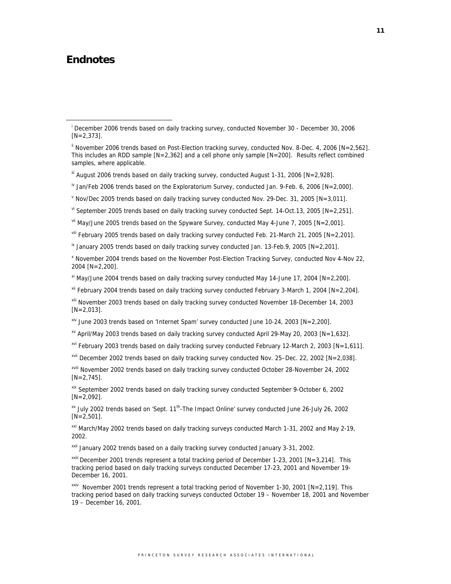# **Endnotes**

viii February 2005 trends based on daily tracking survey conducted Feb. 21-March 21, 2005 [N=2,201].

 $\overline{X}$  January 2005 trends based on daily tracking survey conducted Jan. 13-Feb.9, 2005 [N=2,201].

x November 2004 trends based on the November Post-Election Tracking Survey, conducted Nov 4-Nov 22, 2004 [N=2,200].

 $\frac{x_1}{x_2}$  May/June 2004 trends based on daily tracking survey conducted May 14-June 17, 2004 [N=2,200].

 $xii$  February 2004 trends based on daily tracking survey conducted February 3-March 1, 2004 [N=2,204].

xiii November 2003 trends based on daily tracking survey conducted November 18-December 14, 2003  $[N=2,013]$ .

 $x\text{v}$  April/May 2003 trends based on daily tracking survey conducted April 29-May 20, 2003 [N=1,632].

 $x^{1/2}$  February 2003 trends based on daily tracking survey conducted February 12-March 2, 2003 [N=1,611].

xvii December 2002 trends based on daily tracking survey conducted Nov. 25–Dec. 22, 2002 [N=2,038].

xviii November 2002 trends based on daily tracking survey conducted October 28-November 24, 2002  $[N=2,745]$ .

xix September 2002 trends based on daily tracking survey conducted September 9-October 6, 2002  $[N=2,092]$ .

xx July 2002 trends based on 'Sept. 11th-The Impact Online' survey conducted June 26-July 26, 2002 [N=2,501].

xxi March/May 2002 trends based on daily tracking surveys conducted March 1-31, 2002 and May 2-19, 2002.

xxii January 2002 trends based on a daily tracking survey conducted January 3-31, 2002.

<sup>xxiii</sup> December 2001 trends represent a total tracking period of December 1-23, 2001 [N=3,214]. This tracking period based on daily tracking surveys conducted December 17-23, 2001 and November 19- December 16, 2001.

xxiv November 2001 trends represent a total tracking period of November 1-30, 2001 [N=2,119]. This tracking period based on daily tracking surveys conducted October 19 – November 18, 2001 and November 19 – December 16, 2001.

i <sup>i</sup> December 2006 trends based on daily tracking survey, conducted November 30 - December 30, 2006  $[N=2,373]$ .

 $\textsuperscript{ii}$  November 2006 trends based on Post-Election tracking survey, conducted Nov. 8-Dec. 4, 2006 [N=2,562]. This includes an RDD sample [N=2,362] and a cell phone only sample [N=200]. Results reflect combined samples, where applicable.

 $\text{``}$  August 2006 trends based on daily tracking survey, conducted August 1-31, 2006 [N=2,928].

 $\mu$  Jan/Feb 2006 trends based on the Exploratorium Survey, conducted Jan. 9-Feb. 6, 2006 [N=2,000].

V Nov/Dec 2005 trends based on daily tracking survey conducted Nov. 29-Dec. 31, 2005  $[N=3,011]$ .

 $\rm{v}$ <sup>i</sup> September 2005 trends based on daily tracking survey conducted Sept. 14-Oct.13, 2005 [N=2,251].

vii May/June 2005 trends based on the Spyware Survey, conducted May 4-June 7, 2005 [N=2,001].

 $x^{iv}$  June 2003 trends based on 'Internet Spam' survey conducted June 10-24, 2003 [N=2,200].